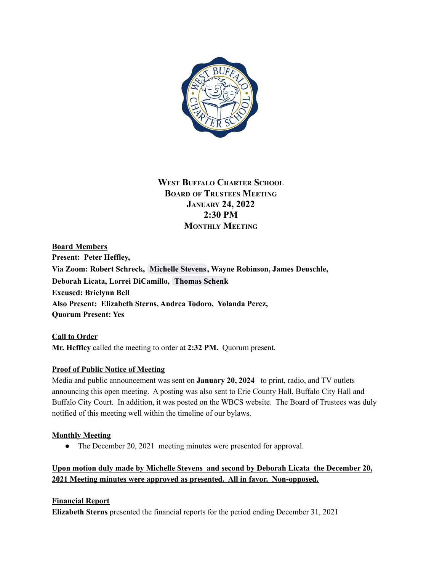

# **WEST BUFFALO CHARTER SCHOOL BOARD OF TRUSTEES MEETING JANUARY 24, 2022 2:30 PM MONTHLY MEETING**

**Board Members Present: Peter Heffley, Via Zoom: Robert Schreck, [Michelle](mailto:mstevens@sail-stevens.com) Stevens, Wayne Robinson, James Deuschle, Deborah Licata, Lorrei DiCamillo, [Thomas](mailto:thomaseschenkmd@gmail.com) Schenk Excused: Brielynn Bell Also Present: Elizabeth Sterns, Andrea Todoro, Yolanda Perez, Quorum Present: Yes**

**Call to Order Mr. Heffley** called the meeting to order at **2:32 PM.** Quorum present.

### **Proof of Public Notice of Meeting**

Media and public announcement was sent on **January 20, 2024** to print, radio, and TV outlets announcing this open meeting. A posting was also sent to Erie County Hall, Buffalo City Hall and Buffalo City Court. In addition, it was posted on the WBCS website. The Board of Trustees was duly notified of this meeting well within the timeline of our bylaws.

### **Monthly Meeting**

• The December 20, 2021 meeting minutes were presented for approval.

**Upon motion duly made by Michelle Stevens and second by Deborah Licata the December 20, 2021 Meeting minutes were approved as presented. All in favor. Non-opposed.**

## **Financial Report**

**Elizabeth Sterns** presented the financial reports for the period ending December 31, 2021